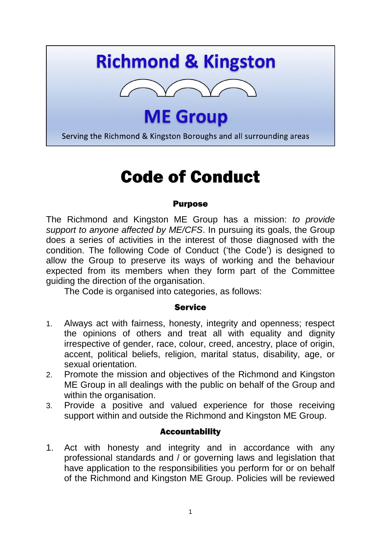# **Richmond & Kingston**



**ME Group** 

Serving the Richmond & Kingston Boroughs and all surrounding areas

# Code of Conduct

#### Purpose

The Richmond and Kingston ME Group has a mission: *to provide support to anyone affected by ME/CFS*. In pursuing its goals, the Group does a series of activities in the interest of those diagnosed with the condition. The following Code of Conduct ('the Code') is designed to allow the Group to preserve its ways of working and the behaviour expected from its members when they form part of the Committee guiding the direction of the organisation.

The Code is organised into categories, as follows:

### **Service**

- 1. Always act with fairness, honesty, integrity and openness; respect the opinions of others and treat all with equality and dignity irrespective of gender, race, colour, creed, ancestry, place of origin, accent, political beliefs, religion, marital status, disability, age, or sexual orientation.
- 2. Promote the mission and objectives of the Richmond and Kingston ME Group in all dealings with the public on behalf of the Group and within the organisation.
- 3. Provide a positive and valued experience for those receiving support within and outside the Richmond and Kingston ME Group.

### Accountability

1. Act with honesty and integrity and in accordance with any professional standards and / or governing laws and legislation that have application to the responsibilities you perform for or on behalf of the Richmond and Kingston ME Group. Policies will be reviewed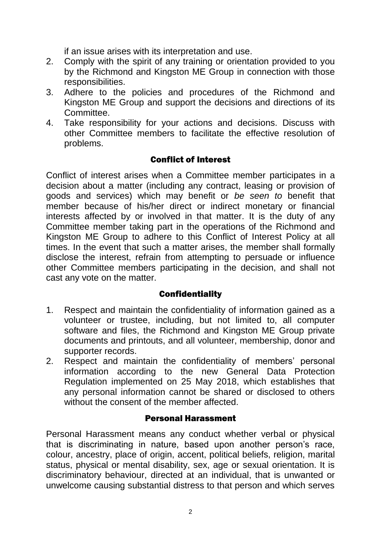if an issue arises with its interpretation and use.

- 2. Comply with the spirit of any training or orientation provided to you by the Richmond and Kingston ME Group in connection with those responsibilities.
- 3. Adhere to the policies and procedures of the Richmond and Kingston ME Group and support the decisions and directions of its Committee.
- 4. Take responsibility for your actions and decisions. Discuss with other Committee members to facilitate the effective resolution of problems.

## Conflict of Interest

Conflict of interest arises when a Committee member participates in a decision about a matter (including any contract, leasing or provision of goods and services) which may benefit or *be seen to* benefit that member because of his/her direct or indirect monetary or financial interests affected by or involved in that matter. It is the duty of any Committee member taking part in the operations of the Richmond and Kingston ME Group to adhere to this Conflict of Interest Policy at all times. In the event that such a matter arises, the member shall formally disclose the interest, refrain from attempting to persuade or influence other Committee members participating in the decision, and shall not cast any vote on the matter.

### **Confidentiality**

- 1. Respect and maintain the confidentiality of information gained as a volunteer or trustee, including, but not limited to, all computer software and files, the Richmond and Kingston ME Group private documents and printouts, and all volunteer, membership, donor and supporter records.
- 2. Respect and maintain the confidentiality of members' personal information according to the new General Data Protection Regulation implemented on 25 May 2018, which establishes that any personal information cannot be shared or disclosed to others without the consent of the member affected.

### Personal Harassment

Personal Harassment means any conduct whether verbal or physical that is discriminating in nature, based upon another person's race, colour, ancestry, place of origin, accent, political beliefs, religion, marital status, physical or mental disability, sex, age or sexual orientation. It is discriminatory behaviour, directed at an individual, that is unwanted or unwelcome causing substantial distress to that person and which serves